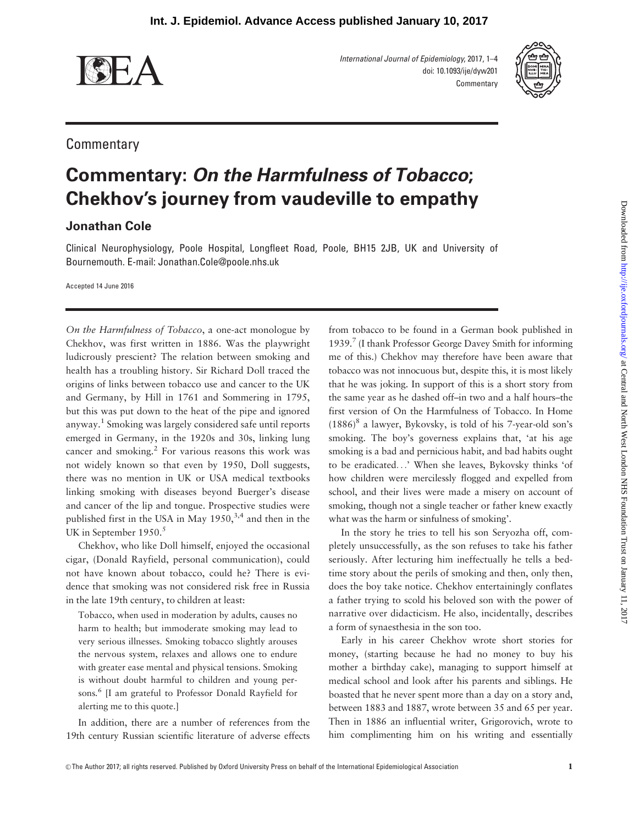

International Journal of Epidemiology, 2017, 1–4 doi: 10.1093/ije/dyw201 **Commentary** 



## **Commentary**

## Commentary: On the Harmfulness of Tobacco; Chekhov's journey from vaudeville to empathy

## Jonathan Cole

Clinical Neurophysiology, Poole Hospital, Longfleet Road, Poole, BH15 2JB, UK and University of Bournemouth. E-mail: Jonathan.Cole@poole.nhs.uk

Accepted 14 June 2016

On the Harmfulness of Tobacco, a one-act monologue by Chekhov, was first written in 1886. Was the playwright ludicrously prescient? The relation between smoking and health has a troubling history. Sir Richard Doll traced the origins of links between tobacco use and cancer to the UK and Germany, by Hill in 1761 and Sommering in 1795, but this was put down to the heat of the pipe and ignored anyway.1 Smoking was largely considered safe until reports emerged in Germany, in the 1920s and 30s, linking lung cancer and smoking.<sup>2</sup> For various reasons this work was not widely known so that even by 1950, Doll suggests, there was no mention in UK or USA medical textbooks linking smoking with diseases beyond Buerger's disease and cancer of the lip and tongue. Prospective studies were published first in the USA in May  $1950$ ,  $3.4$  and then in the UK in September 1950.<sup>5</sup>

Chekhov, who like Doll himself, enjoyed the occasional cigar, (Donald Rayfield, personal communication), could not have known about tobacco, could he? There is evidence that smoking was not considered risk free in Russia in the late 19th century, to children at least:

Tobacco, when used in moderation by adults, causes no harm to health; but immoderate smoking may lead to very serious illnesses. Smoking tobacco slightly arouses the nervous system, relaxes and allows one to endure with greater ease mental and physical tensions. Smoking is without doubt harmful to children and young persons. <sup>6</sup> [I am grateful to Professor Donald Rayfield for alerting me to this quote.]

In addition, there are a number of references from the 19th century Russian scientific literature of adverse effects

from tobacco to be found in a German book published in 1939.7 (I thank Professor George Davey Smith for informing me of this.) Chekhov may therefore have been aware that tobacco was not innocuous but, despite this, it is most likely that he was joking. In support of this is a short story from the same year as he dashed off–in two and a half hours–the first version of On the Harmfulness of Tobacco. In Home  $(1886)^8$  a lawyer, Bykovsky, is told of his 7-year-old son's smoking. The boy's governess explains that, 'at his age smoking is a bad and pernicious habit, and bad habits ought to be eradicated...' When she leaves, Bykovsky thinks 'of how children were mercilessly flogged and expelled from school, and their lives were made a misery on account of smoking, though not a single teacher or father knew exactly what was the harm or sinfulness of smoking'.

In the story he tries to tell his son Seryozha off, completely unsuccessfully, as the son refuses to take his father seriously. After lecturing him ineffectually he tells a bedtime story about the perils of smoking and then, only then, does the boy take notice. Chekhov entertainingly conflates a father trying to scold his beloved son with the power of narrative over didacticism. He also, incidentally, describes a form of synaesthesia in the son too.

Early in his career Chekhov wrote short stories for money, (starting because he had no money to buy his mother a birthday cake), managing to support himself at medical school and look after his parents and siblings. He boasted that he never spent more than a day on a story and, between 1883 and 1887, wrote between 35 and 65 per year. Then in 1886 an influential writer, Grigorovich, wrote to him complimenting him on his writing and essentially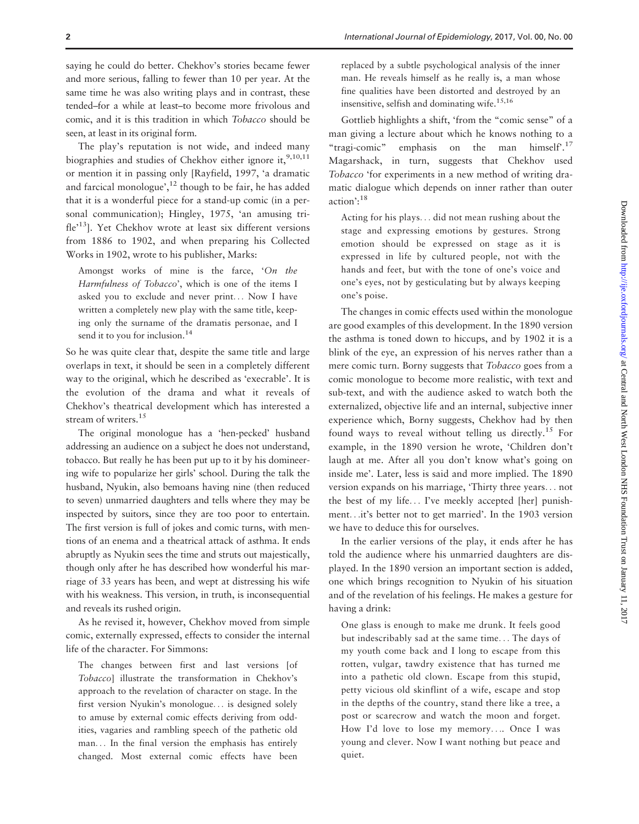saying he could do better. Chekhov's stories became fewer and more serious, falling to fewer than 10 per year. At the same time he was also writing plays and in contrast, these tended–for a while at least–to become more frivolous and comic, and it is this tradition in which Tobacco should be seen, at least in its original form.

The play's reputation is not wide, and indeed many biographies and studies of Chekhov either ignore it,  $9,10,11$ or mention it in passing only [Rayfield, 1997, 'a dramatic and farcical monologue',<sup>12</sup> though to be fair, he has added that it is a wonderful piece for a stand-up comic (in a personal communication); Hingley, 1975, 'an amusing trifle<sup>13</sup>]. Yet Chekhov wrote at least six different versions from 1886 to 1902, and when preparing his Collected Works in 1902, wrote to his publisher, Marks:

Amongst works of mine is the farce, 'On the Harmfulness of Tobacco', which is one of the items I asked you to exclude and never print... Now I have written a completely new play with the same title, keeping only the surname of the dramatis personae, and I send it to you for inclusion.<sup>14</sup>

So he was quite clear that, despite the same title and large overlaps in text, it should be seen in a completely different way to the original, which he described as 'execrable'. It is the evolution of the drama and what it reveals of Chekhov's theatrical development which has interested a stream of writers.<sup>15</sup>

The original monologue has a 'hen-pecked' husband addressing an audience on a subject he does not understand, tobacco. But really he has been put up to it by his domineering wife to popularize her girls' school. During the talk the husband, Nyukin, also bemoans having nine (then reduced to seven) unmarried daughters and tells where they may be inspected by suitors, since they are too poor to entertain. The first version is full of jokes and comic turns, with mentions of an enema and a theatrical attack of asthma. It ends abruptly as Nyukin sees the time and struts out majestically, though only after he has described how wonderful his marriage of 33 years has been, and wept at distressing his wife with his weakness. This version, in truth, is inconsequential and reveals its rushed origin.

As he revised it, however, Chekhov moved from simple comic, externally expressed, effects to consider the internal life of the character. For Simmons:

The changes between first and last versions [of Tobacco] illustrate the transformation in Chekhov's approach to the revelation of character on stage. In the first version Nyukin's monologue... is designed solely to amuse by external comic effects deriving from oddities, vagaries and rambling speech of the pathetic old man... In the final version the emphasis has entirely changed. Most external comic effects have been

replaced by a subtle psychological analysis of the inner man. He reveals himself as he really is, a man whose fine qualities have been distorted and destroyed by an insensitive, selfish and dominating wife.<sup>15,16</sup>

Gottlieb highlights a shift, 'from the "comic sense" of a man giving a lecture about which he knows nothing to a "tragi-comic" emphasis on the man himself'.<sup>17</sup> Magarshack, in turn, suggests that Chekhov used Tobacco 'for experiments in a new method of writing dramatic dialogue which depends on inner rather than outer action $^{18}$ 

Acting for his plays... did not mean rushing about the stage and expressing emotions by gestures. Strong emotion should be expressed on stage as it is expressed in life by cultured people, not with the hands and feet, but with the tone of one's voice and one's eyes, not by gesticulating but by always keeping one's poise.

The changes in comic effects used within the monologue are good examples of this development. In the 1890 version the asthma is toned down to hiccups, and by 1902 it is a blink of the eye, an expression of his nerves rather than a mere comic turn. Borny suggests that Tobacco goes from a comic monologue to become more realistic, with text and sub-text, and with the audience asked to watch both the externalized, objective life and an internal, subjective inner experience which, Borny suggests, Chekhov had by then found ways to reveal without telling us directly.<sup>15</sup> For example, in the 1890 version he wrote, 'Children don't laugh at me. After all you don't know what's going on inside me'. Later, less is said and more implied. The 1890 version expands on his marriage, 'Thirty three years... not the best of my life... I've meekly accepted [her] punishment...it's better not to get married'. In the 1903 version we have to deduce this for ourselves.

In the earlier versions of the play, it ends after he has told the audience where his unmarried daughters are displayed. In the 1890 version an important section is added, one which brings recognition to Nyukin of his situation and of the revelation of his feelings. He makes a gesture for having a drink:

One glass is enough to make me drunk. It feels good but indescribably sad at the same time... The days of my youth come back and I long to escape from this rotten, vulgar, tawdry existence that has turned me into a pathetic old clown. Escape from this stupid, petty vicious old skinflint of a wife, escape and stop in the depths of the country, stand there like a tree, a post or scarecrow and watch the moon and forget. How I'd love to lose my memory.... Once I was young and clever. Now I want nothing but peace and quiet.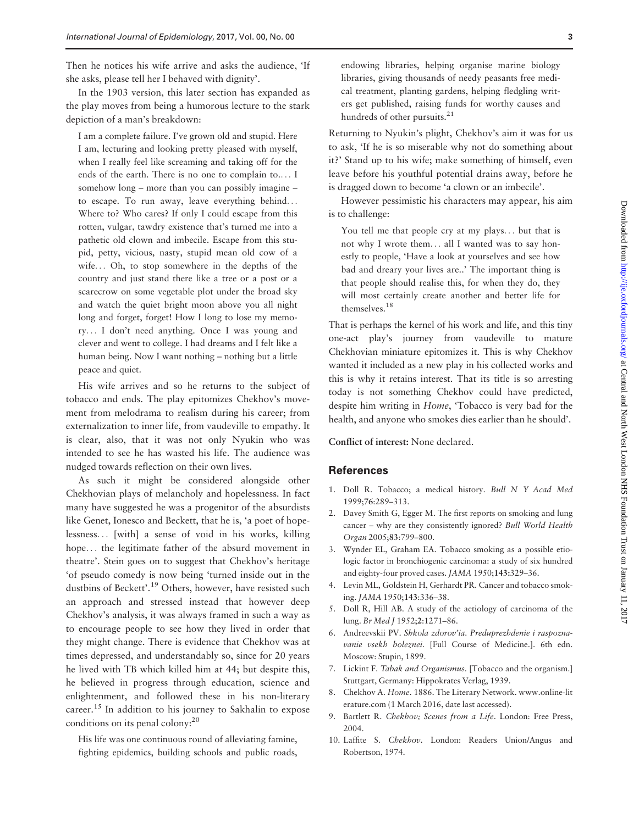Then he notices his wife arrive and asks the audience, 'If she asks, please tell her I behaved with dignity'.

In the 1903 version, this later section has expanded as the play moves from being a humorous lecture to the stark depiction of a man's breakdown:

I am a complete failure. I've grown old and stupid. Here I am, lecturing and looking pretty pleased with myself, when I really feel like screaming and taking off for the ends of the earth. There is no one to complain to.... I somehow long – more than you can possibly imagine – to escape. To run away, leave everything behind... Where to? Who cares? If only I could escape from this rotten, vulgar, tawdry existence that's turned me into a pathetic old clown and imbecile. Escape from this stupid, petty, vicious, nasty, stupid mean old cow of a wife... Oh, to stop somewhere in the depths of the country and just stand there like a tree or a post or a scarecrow on some vegetable plot under the broad sky and watch the quiet bright moon above you all night long and forget, forget! How I long to lose my memory... I don't need anything. Once I was young and clever and went to college. I had dreams and I felt like a human being. Now I want nothing – nothing but a little peace and quiet.

His wife arrives and so he returns to the subject of tobacco and ends. The play epitomizes Chekhov's movement from melodrama to realism during his career; from externalization to inner life, from vaudeville to empathy. It is clear, also, that it was not only Nyukin who was intended to see he has wasted his life. The audience was nudged towards reflection on their own lives.

As such it might be considered alongside other Chekhovian plays of melancholy and hopelessness. In fact many have suggested he was a progenitor of the absurdists like Genet, Ionesco and Beckett, that he is, 'a poet of hopelessness... [with] a sense of void in his works, killing hope... the legitimate father of the absurd movement in theatre'. Stein goes on to suggest that Chekhov's heritage 'of pseudo comedy is now being 'turned inside out in the dustbins of Beckett'.<sup>19</sup> Others, however, have resisted such an approach and stressed instead that however deep Chekhov's analysis, it was always framed in such a way as to encourage people to see how they lived in order that they might change. There is evidence that Chekhov was at times depressed, and understandably so, since for 20 years he lived with TB which killed him at 44; but despite this, he believed in progress through education, science and enlightenment, and followed these in his non-literary career.<sup>15</sup> In addition to his journey to Sakhalin to expose conditions on its penal colony:<sup>20</sup>

His life was one continuous round of alleviating famine, fighting epidemics, building schools and public roads, endowing libraries, helping organise marine biology libraries, giving thousands of needy peasants free medical treatment, planting gardens, helping fledgling writers get published, raising funds for worthy causes and hundreds of other pursuits.<sup>21</sup>

Returning to Nyukin's plight, Chekhov's aim it was for us to ask, 'If he is so miserable why not do something about it?' Stand up to his wife; make something of himself, even leave before his youthful potential drains away, before he is dragged down to become 'a clown or an imbecile'.

However pessimistic his characters may appear, his aim is to challenge:

You tell me that people cry at my plays... but that is not why I wrote them... all I wanted was to say honestly to people, 'Have a look at yourselves and see how bad and dreary your lives are..' The important thing is that people should realise this, for when they do, they will most certainly create another and better life for themselves.18

That is perhaps the kernel of his work and life, and this tiny one-act play's journey from vaudeville to mature Chekhovian miniature epitomizes it. This is why Chekhov wanted it included as a new play in his collected works and this is why it retains interest. That its title is so arresting today is not something Chekhov could have predicted, despite him writing in Home, 'Tobacco is very bad for the health, and anyone who smokes dies earlier than he should'.

Conflict of interest: None declared.

## **References**

- 1. Doll R. Tobacco; a medical history. Bull N Y Acad Med 1999;76:289–313.
- 2. Davey Smith G, Egger M. The first reports on smoking and lung cancer – why are they consistently ignored? Bull World Health Organ 2005;83:799–800.
- 3. Wynder EL, Graham EA. Tobacco smoking as a possible etiologic factor in bronchiogenic carcinoma: a study of six hundred and eighty-four proved cases. JAMA 1950;143:329–36.
- 4. Levin ML, Goldstein H, Gerhardt PR. Cancer and tobacco smoking. JAMA 1950;143:336–38.
- 5. Doll R, Hill AB. A study of the aetiology of carcinoma of the lung. Br Med J 1952;2:1271–86.
- 6. Andreevskii PV. Shkola zdorov'ia. Preduprezhdenie i raspoznavanie vsekh boleznei. [Full Course of Medicine.]. 6th edn. Moscow: Stupin, 1899.
- 7. Lickint F. Tabak and Organismus. [Tobacco and the organism.] Stuttgart, Germany: Hippokrates Verlag, 1939.
- 8. Chekhov A. Home. 1886. The Literary Network. www.online-lit erature.com (1 March 2016, date last accessed).
- 9. Bartlett R. Chekhov; Scenes from a Life. London: Free Press, 2004.
- 10. Laffite S. Chekhov. London: Readers Union/Angus and Robertson, 1974.